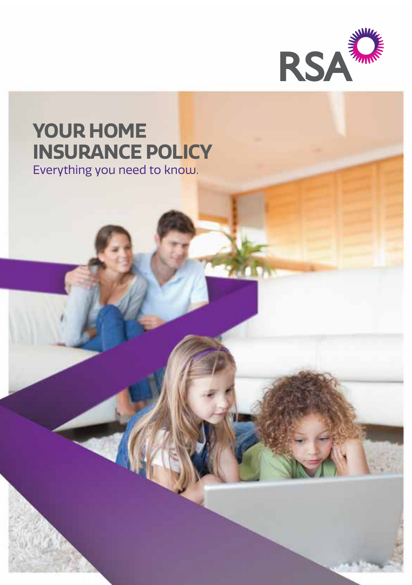

# **YOUR HOME INSURANCE POLICY**  Everything you need to know.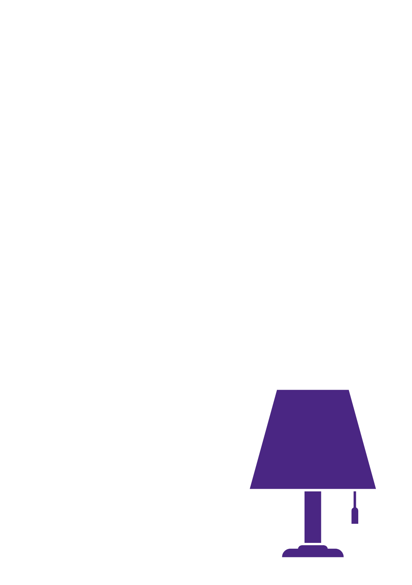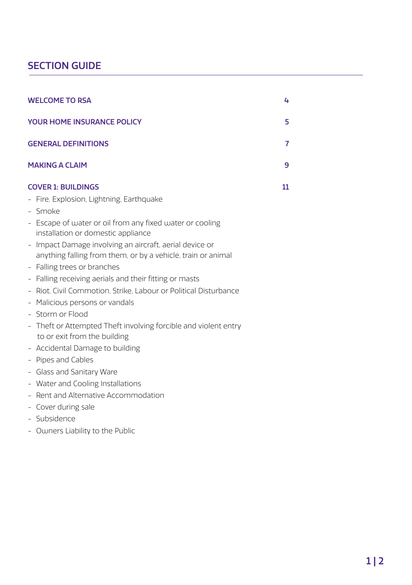## SECTION GUIDE

| <b>WELCOME TO RSA</b>                                                                                                   | 4              |
|-------------------------------------------------------------------------------------------------------------------------|----------------|
| <b>YOUR HOME INSURANCE POLICY</b>                                                                                       | 5              |
| <b>GENERAL DEFINITIONS</b>                                                                                              | $\overline{7}$ |
| <b>MAKING A CLAIM</b>                                                                                                   | 9              |
| <b>COVER 1: BUILDINGS</b>                                                                                               | 11             |
| Fire, Explosion, Lightning, Earthquake                                                                                  |                |
| - Smoke                                                                                                                 |                |
| - Escape of water or oil from any fixed water or cooling<br>installation or domestic appliance                          |                |
| - Impact Damage involving an aircraft, aerial device or<br>anything falling from them, or by a vehicle, train or animal |                |
| - Falling trees or branches                                                                                             |                |
| - Falling receiving aerials and their fitting or masts                                                                  |                |
| - Riot, Civil Commotion, Strike, Labour or Political Disturbance                                                        |                |
| Malicious persons or vandals<br>$\overline{\phantom{a}}$                                                                |                |
| - Storm or Flood                                                                                                        |                |
| - Theft or Attempted Theft involving forcible and violent entry<br>to or exit from the building                         |                |
| - Accidental Damage to building                                                                                         |                |
| - Pipes and Cables                                                                                                      |                |
| - Glass and Sanitary Ware                                                                                               |                |
| - Water and Cooling Installations                                                                                       |                |
| Rent and Alternative Accommodation                                                                                      |                |
| - Cover during sale                                                                                                     |                |
| - Subsidence                                                                                                            |                |
| - Owners Liability to the Public                                                                                        |                |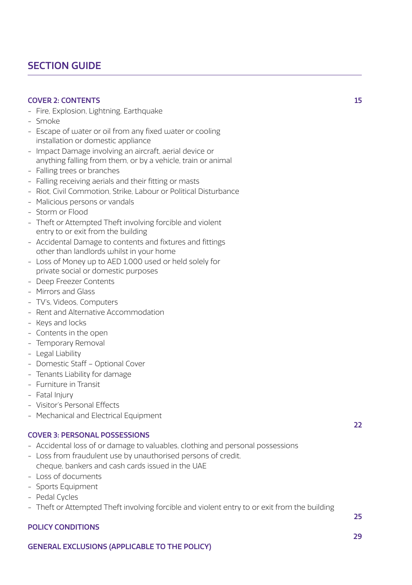### SECTION GUIDE

#### [COVER 2: CONTENTS 15](#page-15-0)

- Fire, Explosion, Lightning, Earthquake
- Smoke
- Escape of water or oil from any fixed water or cooling installation or domestic appliance
- Impact Damage involving an aircraft, aerial device or anything falling from them, or by a vehicle, train or animal
- Falling trees or branches
- Falling receiving aerials and their fitting or masts
- Riot, Civil Commotion, Strike, Labour or Political Disturbance
- Malicious persons or vandals
- Storm or Flood
- Theft or Attempted Theft involving forcible and violent entry to or exit from the building
- Accidental Damage to contents and fixtures and fittings other than landlords whilst in your home
- Loss of Money up to AED 1,000 used or held solely for private social or domestic purposes
- Deep Freezer Contents
- Mirrors and Glass
- TV's Videos Computers
- Rent and Alternative Accommodation
- Keys and locks
- Contents in the open
- Temporary Removal
- Legal Liability
- Domestic Staff Optional Cover
- Tenants Liability for damage
- Furniture in Transit
- Fatal Injury
- Visitor's Personal Effects
- Mechanical and Electrical Equipment

#### [COVER 3: PERSONAL POSSESSIONS](#page-25-0)

- Accidental loss of or damage to valuables, clothing and personal possessions
- Loss from fraudulent use by unauthorised persons of credit, cheque, bankers and cash cards issued in the UAE
- Loss of documents
- Sports Equipment
- Pedal Cycles
- Theft or Attempted Theft involving forcible and violent entry to or exit from the building

#### [POLICY CONDITIONS](#page-28-0)

#### [GENERAL EXCLUSIONS \(APPLICABLE TO THE POLICY\)](#page-32-0)

 $22$ 

25

29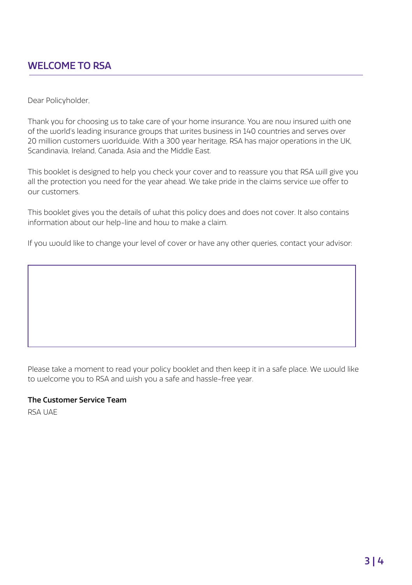<span id="page-4-0"></span>Dear Policyholder,

Thank you for choosing us to take care of your home insurance. You are now insured with one of the world's leading insurance groups that writes business in 140 countries and serves over 20 million customers worldwide. With a 300 year heritage, RSA has major operations in the UK, Scandinavia, Ireland, Canada, Asia and the Middle East.

This booklet is designed to help you check your cover and to reassure you that RSA will give you all the protection you need for the year ahead. We take pride in the claims service we offer to our customers.

This booklet gives you the details of what this policy does and does not cover. It also contains information about our help-line and how to make a claim.

If you would like to change your level of cover or have any other queries, contact your advisor:

Please take a moment to read your policy booklet and then keep it in a safe place. We would like to welcome you to RSA and wish you a safe and hassle-free year.

### The Customer Service Team

RSA UAE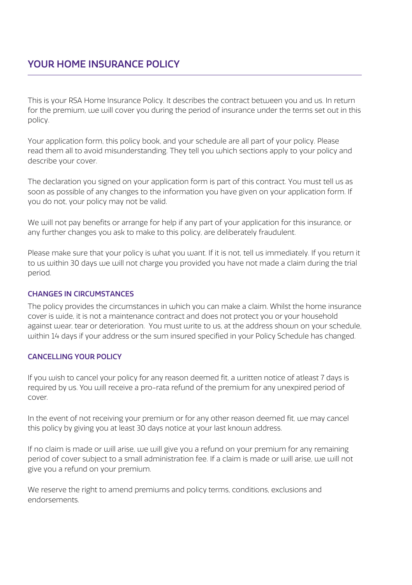<span id="page-5-0"></span>This is your RSA Home Insurance Policy. It describes the contract between you and us. In return for the premium, we will cover you during the period of insurance under the terms set out in this policy.

Your application form, this policy book, and your schedule are all part of your policy. Please read them all to avoid misunderstanding. They tell you which sections apply to your policy and describe your cover.

The declaration you signed on your application form is part of this contract. You must tell us as soon as possible of any changes to the information you have given on your application form. If you do not, your policy may not be valid.

We will not pay benefits or arrange for help if any part of your application for this insurance, or any further changes you ask to make to this policy, are deliberately fraudulent.

Please make sure that your policy is what you want. If it is not, tell us immediately. If you return it to us within 30 days we will not charge you provided you have not made a claim during the trial period.

#### CHANGES IN CIRCUMSTANCES

 cover is wide, it is not a maintenance contract and does not protect you or your household The policy provides the circumstances in which you can make a claim. Whilst the home insurance against wear, tear or deterioration. You must write to us, at the address shown on your schedule, within 14 days if your address or the sum insured specified in your Policy Schedule has changed.

#### CANCELLING YOUR POLICY

If you wish to cancel your policy for any reason deemed fit, a written notice of atleast 7 days is required by us. You will receive a pro-rata refund of the premium for any unexpired period of cover.

In the event of not receiving your premium or for any other reason deemed fit, we may cancel this policy by giving you at least 30 days notice at your last known address.

If no claim is made or will arise, we will give you a refund on your premium for any remaining period of cover subject to a small administration fee. If a claim is made or will arise, we will not give you a refund on your premium.

We reserve the right to amend premiums and policy terms, conditions, exclusions and endorsements.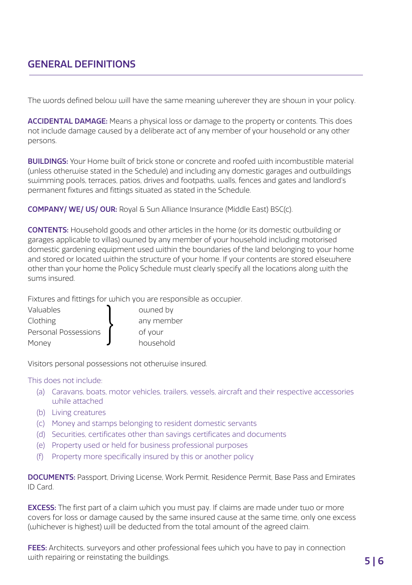### GENERAL DEFINITIONS

The words defined below will have the same meaning wherever they are shown in your policy.

ACCIDENTAL DAMAGE: Means a physical loss or damage to the property or contents. This does not include damage caused by a deliberate act of any member of your household or any other persons.

BUILDINGS: Your Home built of brick stone or concrete and roofed with incombustible material (unless otherwise stated in the Schedule) and including any domestic garages and outbuildings swimming pools, terraces, patios, drives and footpaths, walls, fences and gates and landlord's permanent fixtures and fittings situated as stated in the Schedule.

COMPANY/ WE/ US/ OUR: Royal & Sun Alliance Insurance (Middle East) BSC(c).

 and stored or located within the structure of your home. If your contents are stored elsewhere CONTENTS: Household goods and other articles in the home (or its domestic outbuilding or garages applicable to villas) owned by any member of your household including motorised domestic gardening equipment used within the boundaries of the land belonging to your home other than your home the Policy Schedule must clearly specify all the locations along with the sums insured.

Fixtures and fittings for which you are responsible as occupier.

| Valuables            | owned by   |
|----------------------|------------|
| Clothing             | any member |
| Personal Possessions | of your    |
| Money                | household  |

Visitors personal possessions not otherwise insured.

This does not include:

- (a) Caravans, boats, motor vehicles, trailers, vessels, aircraft and their respective accessories while attached
- (b) Living creatures
- (c) Money and stamps belonging to resident domestic servants
- (d) Securities, certificates other than savings certificates and documents
- (e) Property used or held for business professional purposes
- (f) Property more specifically insured by this or another policy

DOCUMENTS: Passport, Driving License, Work Permit, Residence Permit, Base Pass and Emirates ID Card.

EXCESS: The first part of a claim which you must pay. If claims are made under two or more covers for loss or damage caused by the same insured cause at the same time, only one excess (whichever is highest) will be deducted from the total amount of the agreed claim.

**FEES:** Architects, surveyors and other professional fees which you have to pay in connection with repairing or reinstating the buildings. **5 | 6** and the buildings.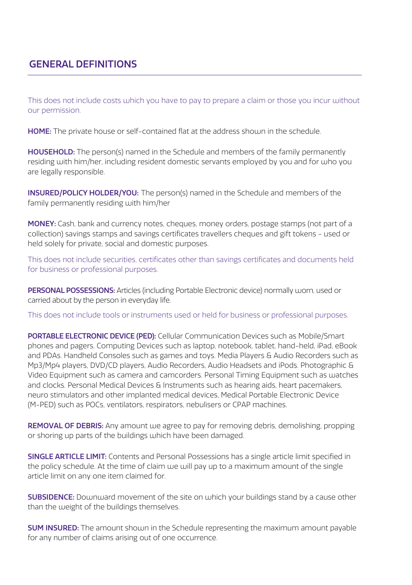### <span id="page-7-0"></span>GENERAL DEFINITIONS

This does not include costs which you have to pay to prepare a claim or those you incur without our permission.

HOME: The private house or self-contained flat at the address shown in the schedule.

HOUSEHOLD: The person(s) named in the Schedule and members of the family permanently residing with him/her, including resident domestic servants employed by you and for who you are legally responsible.

INSURED/POLICY HOLDER/YOU: The person(s) named in the Schedule and members of the family permanently residing with him/her

MONEY: Cash, bank and currency notes, cheques, money orders, postage stamps (not part of a collection) savings stamps and savings certificates travellers cheques and gift tokens - used or held solely for private, social and domestic purposes.

This does not include securities, certificates other than savings certificates and documents held for business or professional purposes.

PERSONAL POSSESSIONS: Articles (including Portable Electronic device) normally worn, used or carried about by the person in everyday life.

This does not include tools or instruments used or held for business or professional purposes.

PORTABLE ELECTRONIC DEVICE (PED): Cellular Communication Devices such as Mobile/Smart phones and pagers. Computing Devices such as laptop, notebook, tablet, hand-held, iPad, eBook and PDAs. Handheld Consoles such as games and toys. Media Players & Audio Recorders such as Mp3/Mp4 players, DVD/CD players, Audio Recorders, Audio Headsets and iPods. Photographic & Video Equipment such as camera and camcorders. Personal Timing Equipment such as watches and clocks. Personal Medical Devices & Instruments such as hearing aids, heart pacemakers, neuro stimulators and other implanted medical devices, Medical Portable Electronic Device (M-PED) such as POCs, ventilators, respirators, nebulisers or CPAP machines.

REMOVAL OF DEBRIS: Any amount we agree to pay for removing debris, demolishing, propping or shoring up parts of the buildings which have been damaged.

SINGLE ARTICLE LIMIT: Contents and Personal Possessions has a single article limit specified in the policy schedule. At the time of claim we will pay up to a maximum amount of the single article limit on any one item claimed for.

SUBSIDENCE: Downward movement of the site on which your buildings stand by a cause other than the weight of the buildings themselves.

SUM INSURED: The amount shown in the Schedule representing the maximum amount payable for any number of claims arising out of one occurrence.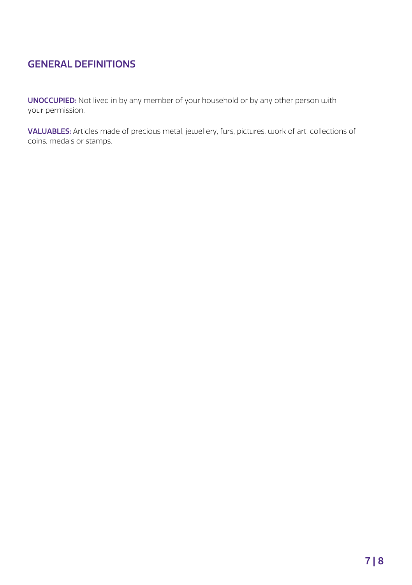### GENERAL DEFINITIONS

UNOCCUPIED: Not lived in by any member of your household or by any other person with your permission.

VALUABLES: Articles made of precious metal, jewellery, furs, pictures, work of art, collections of coins, medals or stamps.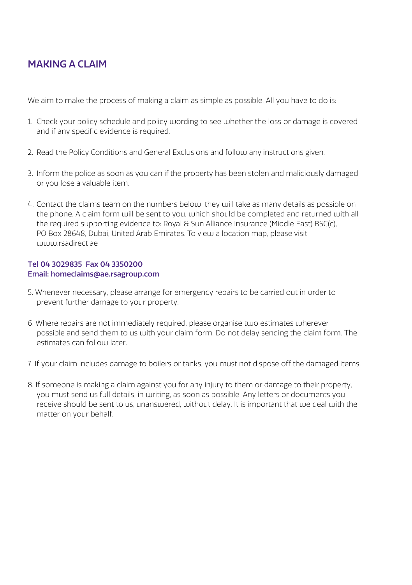### <span id="page-9-0"></span>MAKING A CLAIM

We aim to make the process of making a claim as simple as possible. All you have to do is:

- 1. Check your policy schedule and policy wording to see whether the loss or damage is covered and if any specific evidence is required.
- 2. Read the Policy Conditions and General Exclusions and follow any instructions given.
- 3. Inform the police as soon as you can if the property has been stolen and maliciously damaged or you lose a valuable item.
- 4. Contact the claims team on the numbers below, they will take as many details as possible on the phone. A claim form will be sent to you, which should be completed and returned with all the required supporting evidence to: Royal & Sun Alliance Insurance (Middle East) BSC(c), PO Box 28648, Dubai, United Arab Emirates. To view a location map, please visit [www.rsadirect.ae](http://www.rsadirect.ae)

#### Tel 04 3029835 Fax 04 3350200 Email: [homeclaims@ae.rsagroup.com](mailto:homeclaims@ae.rsagroup.com)

- 5. Whenever necessary, please arrange for emergency repairs to be carried out in order to prevent further damage to your property.
- 6. Where repairs are not immediately required, please organise two estimates wherever possible and send them to us with your claim form. Do not delay sending the claim form. The estimates can follow later.
- 7. If your claim includes damage to boilers or tanks, you must not dispose off the damaged items.
- 8. If someone is making a claim against you for any injury to them or damage to their property, you must send us full details, in writing, as soon as possible. Any letters or documents you receive should be sent to us, unanswered, without delay. It is important that we deal with the matter on your behalf.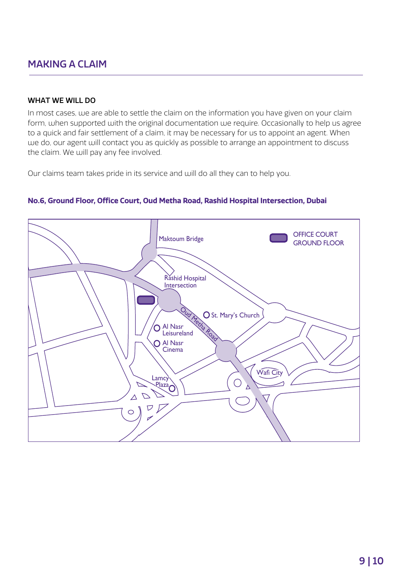### MAKING A CLAIM

#### WHAT WE WILL DO

In most cases, we are able to settle the claim on the information you have given on your claim form, when supported with the original documentation we require. Occasionally to help us agree to a quick and fair settlement of a claim, it may be necessary for us to appoint an agent. When we do, our agent will contact you as quickly as possible to arrange an appointment to discuss the claim. We will pay any fee involved.

Our claims team takes pride in its service and will do all they can to help you.



#### **No.6, Ground Floor, Office Court, Oud Metha Road, Rashid Hospital Intersection, Dubai**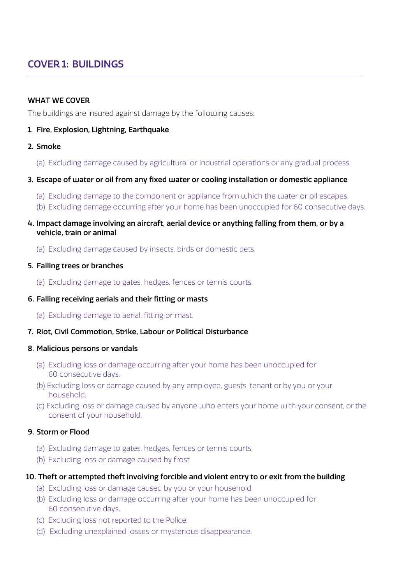#### <span id="page-11-0"></span>WHAT WE COVER

The buildings are insured against damage by the following causes:

- 1. Fire, Explosion, Lightning, Earthquake
- 2. Smoke
	- (a) Excluding damage caused by agricultural or industrial operations or any gradual process.
- 3. Escape of water or oil from any fixed water or cooling installation or domestic appliance
	- (a) Excluding damage to the component or appliance from which the water or oil escapes.
	- (b) Excluding damage occurring after your home has been unoccupied for 60 consecutive days.
- 4. Impact damage involving an aircraft, aerial device or anything falling from them, or by a vehicle, train or animal
	- (a) Excluding damage caused by insects, birds or domestic pets.

#### 5. Falling trees or branches

- (a) Excluding damage to gates, hedges, fences or tennis courts.
- 6. Falling receiving aerials and their fitting or masts
	- (a) Excluding damage to aerial, fitting or mast.
- 7. Riot, Civil Commotion, Strike, Labour or Political Disturbance
- 8. Malicious persons or vandals
	- (a) Excluding loss or damage occurring after your home has been unoccupied for 60 consecutive days.
	- (b) Excluding loss or damage caused by any employee, guests, tenant or by you or your household.
	- (c) Excluding loss or damage caused by anyone who enters your home with your consent, or the consent of your household.

#### 9. Storm or Flood

- (a) Excluding damage to gates, hedges, fences or tennis courts.
- (b) Excluding loss or damage caused by frost

#### 10. Theft or attempted theft involving forcible and violent entry to or exit from the building

- (a) Excluding loss or damage caused by you or your household.
- (b) Excluding loss or damage occurring after your home has been unoccupied for 60 consecutive days.
- (c) Excluding loss not reported to the Police.
- (d) Excluding unexplained losses or mysterious disappearance.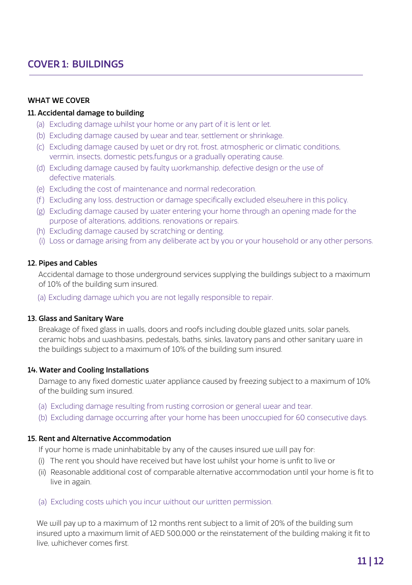#### WHAT WE COVER

#### 11. Accidental damage to building

- (a) Excluding damage whilst your home or any part of it is lent or let.
- (b) Excluding damage caused by wear and tear, settlement or shrinkage.
- (c) Excluding damage caused by wet or dry rot, frost, atmospheric or climatic conditions, vermin, insects, domestic pets,fungus or a gradually operating cause.
- (d) Excluding damage caused by faulty workmanship, defective design or the use of defective materials.
- (e) Excluding the cost of maintenance and normal redecoration.
- (f ) Excluding any loss, destruction or damage specifically excluded elsewhere in this policy.
- (g) Excluding damage caused by water entering your home through an opening made for the purpose of alterations, additions, renovations or repairs.
- (h) Excluding damage caused by scratching or denting.
- (i) Loss or damage arising from any deliberate act by you or your household or any other persons.

#### 12. Pipes and Cables

Accidental damage to those underground services supplying the buildings subject to a maximum of 10% of the building sum insured.

(a) Excluding damage which you are not legally responsible to repair.

#### 13. Glass and Sanitary Ware

 the buildings subject to a maximum of 10% of the building sum insured. Breakage of fixed glass in walls, doors and roofs including double glazed units, solar panels, ceramic hobs and washbasins, pedestals, baths, sinks, lavatory pans and other sanitary ware in

#### 14. Water and Cooling Installations

 of the building sum insured. Damage to any fixed domestic water appliance caused by freezing subject to a maximum of 10%

- (a) Excluding damage resulting from rusting corrosion or general wear and tear.
- (b) Excluding damage occurring after your home has been unoccupied for 60 consecutive days.

#### 15. Rent and Alternative Accommodation

If your home is made uninhabitable by any of the causes insured we will pay for:

- (i) The rent you should have received but have lost whilst your home is unfit to live or
- live in again. (ii) Reasonable additional cost of comparable alternative accommodation until your home is fit to
- (a) Excluding costs which you incur without our written permission.

 insured upto a maximum limit of AED 500,000 or the reinstatement of the building making it fit to We will pay up to a maximum of 12 months rent subject to a limit of 20% of the building sum live, whichever comes first.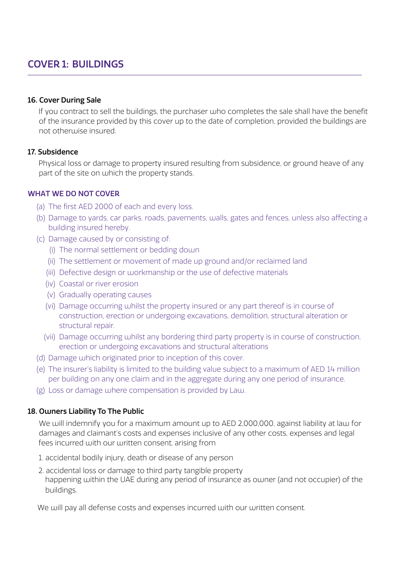#### 16. Cover During Sale

 If you contract to sell the buildings, the purchaser who completes the sale shall have the benefit of the insurance provided by this cover up to the date of completion, provided the buildings are not otherwise insured.

#### 17. Subsidence

 part of the site on which the property stands. Physical loss or damage to property insured resulting from subsidence, or ground heave of any

#### WHAT WE DO NOT COVER

- (a) The first AED 2000 of each and every loss.
- (b) Damage to yards, car parks, roads, pavements, walls, gates and fences, unless also affecting a building insured hereby.
- (c) Damage caused by or consisting of:
	- (i) The normal settlement or bedding down
	- (ii) The settlement or movement of made up ground and/or reclaimed land
	- (iii) Defective design or workmanship or the use of defective materials
	- (iv) Coastal or river erosion
	- (v) Gradually operating causes
	- (vi) Damage occurring whilst the property insured or any part thereof is in course of construction, erection or undergoing excavations, demolition, structural alteration or structural repair.
	- (vii) Damage occurring whilst any bordering third party property is in course of construction, erection or undergoing excavations and structural alterations
- (d) Damage which originated prior to inception of this cover.
- (e) The insurer's liability is limited to the building value subject to a maximum of AED 14 million per building on any one claim and in the aggregate during any one period of insurance.
- (g) Loss or damage where compensation is provided by Law.

#### 18. Owners Liability To The Public

We will indemnify you for a maximum amount up to AED 2,000,000, against liability at law for damages and claimant's costs and expenses inclusive of any other costs, expenses and legal fees incurred with our written consent, arising from

- 1. accidental bodily injury, death or disease of any person
- 2. accidental loss or damage to third party tangible property happening within the UAE during any period of insurance as owner (and not occupier) of the buildings.

We will pay all defense costs and expenses incurred with our written consent.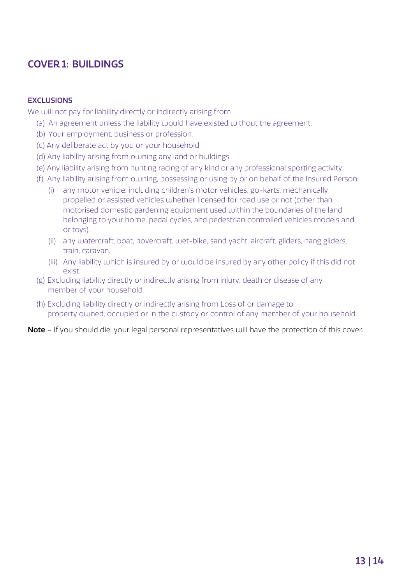#### **EXCLUSIONS**

We will not pay for liability directly or indirectly arising from

- (a) An agreement unless the liability would have existed without the agreement.
- (b) Your employment, business or profession.
- (c) Any deliberate act by you or your household.
- (d) Any liability arising from owning any land or buildings.
- (e) Any liability arising from hunting racing of any kind or any professional sporting activity
- (f) Any liability arising from owning, possessing or using by or on behalf of the Insured Person:
	- (i) any motor vehicle, including children's motor vehicles, go-karts, mechanically propelled or assisted vehicles whether licensed for road use or not (other than motorised domestic gardening equipment used within the boundaries of the land belonging to your home, pedal cycles, and pedestrian controlled vehicles models and or toys).
	- (ii) any watercraft, boat, hovercraft, wet-bike, sand yacht, aircraft, gliders, hang gliders, train, caravan.
	- (iii) Any liability which is insured by or would be insured by any other policy if this did not exist.
- (g) Excluding liability directly or indirectly arising from injury, death or disease of any member of your household.
- (h) Excluding liability directly or indirectly arising from Loss of or damage to property owned, occupied or in the custody or control of any member of your household.
- Note If you should die, your legal personal representatives will have the protection of this cover.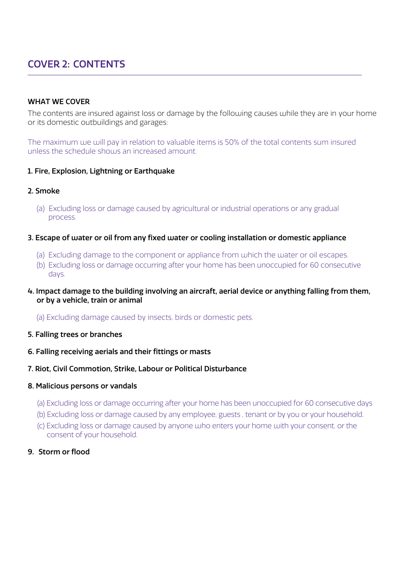#### <span id="page-15-0"></span>WHAT WE COVER

The contents are insured against loss or damage by the following causes while they are in your home or its domestic outbuildings and garages:

The maximum we will pay in relation to valuable items is 50% of the total contents sum insured unless the schedule shows an increased amount.

#### 1. Fire, Explosion, Lightning or Earthquake

#### 2. Smoke

- (a) Excluding loss or damage caused by agricultural or industrial operations or any gradual process.
- 3. Escape of water or oil from any fixed water or cooling installation or domestic appliance
	- (a) Excluding damage to the component or appliance from which the water or oil escapes.
	- (b) Excluding loss or damage occurring after your home has been unoccupied for 60 consecutive days.
- 4. Impact damage to the building involving an aircraft, aerial device or anything falling from them, or by a vehicle, train or animal
	- (a) Excluding damage caused by insects, birds or domestic pets.
- 5. Falling trees or branches
- 6. Falling receiving aerials and their fittings or masts
- 7. Riot, Civil Commotion, Strike, Labour or Political Disturbance

#### 8. Malicious persons or vandals

- (a) Excluding loss or damage occurring after your home has been unoccupied for 60 consecutive days
- (b) Excluding loss or damage caused by any employee, guests , tenant or by you or your household.
- (c) Excluding loss or damage caused by anyone who enters your home with your consent, or the consent of your household.

#### 9. Storm or flood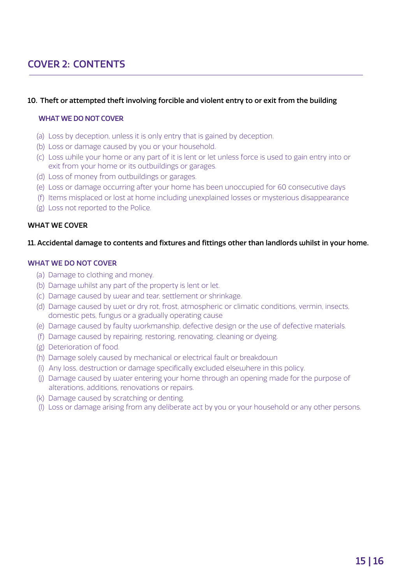#### 10. Theft or attempted theft involving forcible and violent entry to or exit from the building

#### WHAT WE DO NOT COVER

- (a) Loss by deception, unless it is only entry that is gained by deception.
- (b) Loss or damage caused by you or your household.
- (c) Loss while your home or any part of it is lent or let unless force is used to gain entry into or exit from your home or its outbuildings or garages.
- (d) Loss of money from outbuildings or garages.
- (e) Loss or damage occurring after your home has been unoccupied for 60 consecutive days
- (f) Items misplaced or lost at home including unexplained losses or mysterious disappearance
- (g) Loss not reported to the Police.

#### WHAT WE COVER

#### 11. Accidental damage to contents and fixtures and fittings other than landlords whilst in your home.

#### WHAT WE DO NOT COVER

- (a) Damage to clothing and money.
- (b) Damage whilst any part of the property is lent or let.
- (c) Damage caused by wear and tear, settlement or shrinkage.
- (d) Damage caused by wet or dry rot, frost, atmospheric or climatic conditions, vermin, insects, domestic pets, fungus or a gradually operating cause
- (e) Damage caused by faulty workmanship, defective design or the use of defective materials.
- (f) Damage caused by repairing, restoring, renovating, cleaning or dyeing.
- (g) Deterioration of food.
- (h) Damage solely caused by mechanical or electrical fault or breakdown
- (i) Any loss, destruction or damage specifically excluded elsewhere in this policy.
- (j) Damage caused by water entering your home through an opening made for the purpose of alterations, additions, renovations or repairs.
- (k) Damage caused by scratching or denting.
- (l) Loss or damage arising from any deliberate act by you or your household or any other persons.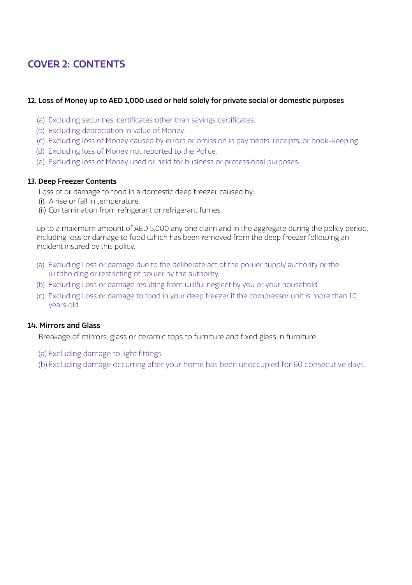#### 12. Loss of Money up to AED 1,000 used or held solely for private social or domestic purposes

- (a) Excluding securities, certificates other than savings certificates.
- (b) Excluding depreciation in value of Money.
- (c) Excluding loss of Money caused by errors or omission in payments, receipts, or book-keeping.
- (d) Excluding loss of Money not reported to the Police.
- (e) Excluding loss of Money used or held for business or professional purposes.

#### 13. Deep Freezer Contents

- Loss of or damage to food in a domestic deep freezer caused by:
- (i) A rise or fall in temperature.
- (ii) Contamination from refrigerant or refrigerant fumes.

up to a maximum amount of AED 5,000 any one claim and in the aggregate during the policy period, including loss or damage to food which has been removed from the deep freezer following an incident insured by this policy.

- (a) Excluding Loss or damage due to the deliberate act of the power supply authority or the withholding or restricting of power by the authority.
- (b) Excluding Loss or damage resulting from willful neglect by you or your household.
- (c) Excluding Loss or damage to food in your deep freezer if the compressor unit is more than 10 years old.

#### 14. Mirrors and Glass

Breakage of mirrors, glass or ceramic tops to furniture and fixed glass in furniture.

- (a) Excluding damage to light fittings.
- (b) Excluding damage occurring after your home has been unoccupied for 60 consecutive days.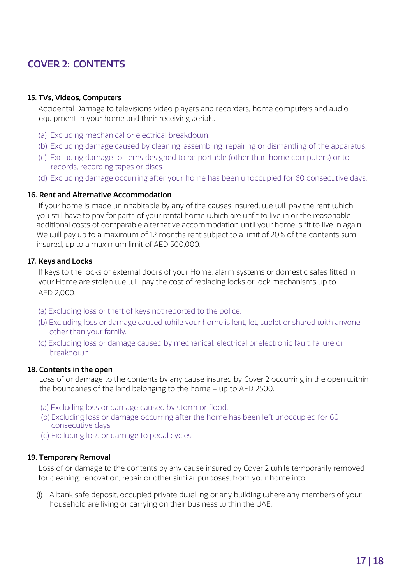#### 15. TVs, Videos, Computers

Accidental Damage to televisions video players and recorders, home computers and audio equipment in your home and their receiving aerials.

- (a) Excluding mechanical or electrical breakdown.
- (b) Excluding damage caused by cleaning, assembling, repairing or dismantling of the apparatus.
- (c) Excluding damage to items designed to be portable (other than home computers) or to records, recording tapes or discs.
- (d) Excluding damage occurring after your home has been unoccupied for 60 consecutive days.

#### 16. Rent and Alternative Accommodation

 If your home is made uninhabitable by any of the causes insured, we will pay the rent which you still have to pay for parts of your rental home which are unfit to live in or the reasonable additional costs of comparable alternative accommodation until your home is fit to live in again We will pay up to a maximum of 12 months rent subject to a limit of 20% of the contents sum insured, up to a maximum limit of AED 500,000.

#### 17. Keys and Locks

 your Home are stolen we will pay the cost of replacing locks or lock mechanisms up to If keys to the locks of external doors of your Home, alarm systems or domestic safes fitted in AED 2,000.

- (a) Excluding loss or theft of keys not reported to the police.
- (b) Excluding loss or damage caused while your home is lent, let, sublet or shared with anyone other than your family.
- (c) Excluding loss or damage caused by mechanical, electrical or electronic fault, failure or breakdown

#### 18. Contents in the open

 Loss of or damage to the contents by any cause insured by Cover 2 occurring in the open within the boundaries of the land belonging to the home – up to AED 2500.

- (a) Excluding loss or damage caused by storm or flood.
- (b) Excluding loss or damage occurring after the home has been left unoccupied for 60 consecutive days
- (c) Excluding loss or damage to pedal cycles

#### 19. Temporary Removal

 Loss of or damage to the contents by any cause insured by Cover 2 while temporarily removed for cleaning, renovation, repair or other similar purposes, from your home into:

(i) A bank safe deposit, occupied private dwelling or any building where any members of your household are living or carrying on their business within the UAE.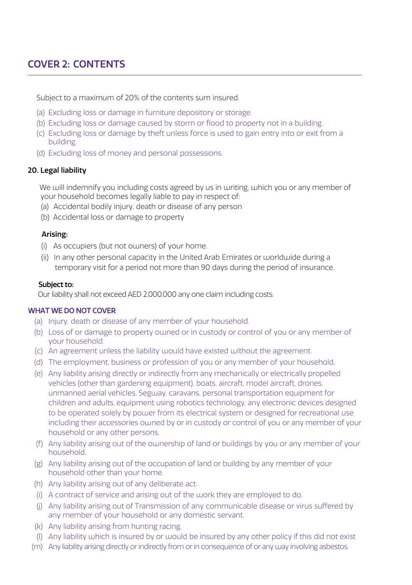Subject to a maximum of 20% of the contents sum insured.

- (a) Excluding loss or damage in furniture depository or storage.
- (b) Excluding loss or damage caused by storm or flood to property not in a building.
- (c) Excluding loss or damage by theft unless force is used to gain entry into or exit from a building.
- (d) Excluding loss of money and personal possessions.

#### 20. Legal liability

We will indemnify you including costs agreed by us in writing, which you or any member of your household becomes legally liable to pay in respect of:

- (a) Accidental bodily injury, death or disease of any person
- (b) Accidental loss or damage to property

#### Arising:

- (i) As occupiers (but not owners) of your home.
- (ii) In any other personal capacity in the United Arab Emirates or worldwide during a temporary visit for a period not more than 90 days during the period of insurance.

#### Subject to:

Our liability shall not exceed AED 2,000,000 any one claim including costs.

#### WHAT WE DO NOT COVER

- (a) Injury, death or disease of any member of your household.
- (b) Loss of or damage to property owned or in custody or control of you or any member of your household.
- (c) An agreement unless the liability would have existed without the agreement.
- (d) The employment, business or profession of you or any member of your household.
- (e) Any liability arising directly or indirectly from any mechanically or electrically propelled vehicles (other than gardening equipment), boats, aircraft, model aircraft, drones, unmanned aerial vehicles, Segway, caravans, personal transportation equipment for children and adults, equipment using robotics technology, any electronic devices designed to be operated solely by power from its electrical system or designed for recreational use including their accessories owned by or in custody or control of you or any member of your household or any other persons.
- (f) Any liability arising out of the ownership of land or buildings by you or any member of your household.
- (g) Any liability arising out of the occupation of land or building by any member of your household other than your home.
- (h) Any liability arising out of any deliberate act.
- (i) A contract of service and arising out of the work they are employed to do.
- (j) Any liability arising out of Transmission of any communicable disease or virus suffered by any member of your household or any domestic servant.
- (k) Any liability arising from hunting racing.
- (l) Any liability which is insured by or would be insured by any other policy if this did not exist
- (m) Any liability arising directly or indirectly from or in consequence of or any way involving asbestos.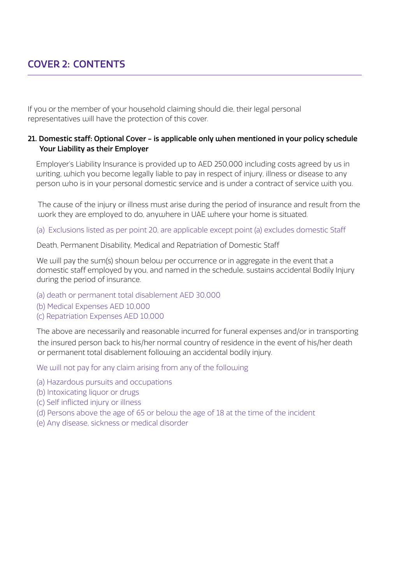If you or the member of your household claiming should die, their legal personal representatives will have the protection of this cover.

#### 21. Domestic staff: Optional Cover - is applicable only when mentioned in your policy schedule Your Liability as their Employer

Employer's Liability Insurance is provided up to AED 250,000 including costs agreed by us in writing, which you become legally liable to pay in respect of injury, illness or disease to any person who is in your personal domestic service and is under a contract of service with you.

The cause of the injury or illness must arise during the period of insurance and result from the work they are employed to do, anywhere in UAE where your home is situated.

(a) Exclusions listed as per point 20, are applicable except point (a) excludes domestic Staff

Death, Permanent Disability, Medical and Repatriation of Domestic Staff

We will pay the sum(s) shown below per occurrence or in aggregate in the event that a domestic staff employed by you, and named in the schedule, sustains accidental Bodily Injury during the period of insurance.

- (a) death or permanent total disablement AED 30,000
- (b) Medical Expenses AED 10,000
- (c) Repatriation Expenses AED 10,000

The above are necessarily and reasonable incurred for funeral expenses and/or in transporting the insured person back to his/her normal country of residence in the event of his/her death or permanent total disablement following an accidental bodily injury.

We will not pay for any claim arising from any of the following

- (a) Hazardous pursuits and occupations
- (b) Intoxicating liquor or drugs
- (c) Self inflicted injury or illness
- (d) Persons above the age of 65 or below the age of 18 at the time of the incident
- (e) Any disease, sickness or medical disorder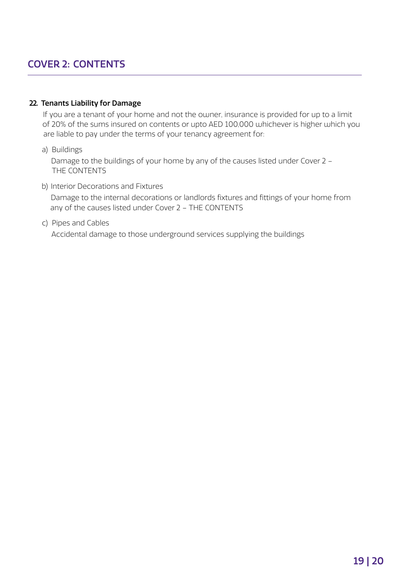#### 22. Tenants Liability for Damage

If you are a tenant of your home and not the owner, insurance is provided for up to a limit of 20% of the sums insured on contents or upto AED 100,000 whichever is higher which you are liable to pay under the terms of your tenancy agreement for:

a) Buildings

Damage to the buildings of your home by any of the causes listed under Cover 2 – THE CONTENTS

b) Interior Decorations and Fixtures

 Damage to the internal decorations or landlords fixtures and fittings of your home from any of the causes listed under Cover 2 – THE CONTENTS

c) Pipes and Cables

Accidental damage to those underground services supplying the buildings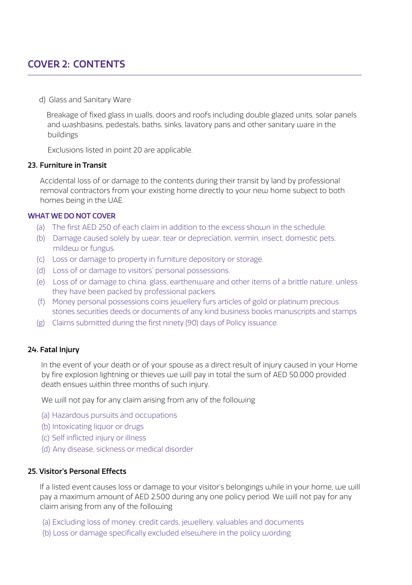d) Glass and Sanitary Ware

 Breakage of fixed glass in walls, doors and roofs including double glazed units, solar panels and washbasins, pedestals, baths, sinks, lavatory pans and other sanitary ware in the buildings

Exclusions listed in point 20 are applicable.

#### 23. Furniture in Transit

Accidental loss of or damage to the contents during their transit by land by professional removal contractors from your existing home directly to your new home subject to both homes being in the UAE.

#### WHAT WE DO NOT COVER

- (a) The first AED 250 of each claim in addition to the excess shown in the schedule.
- (b) Damage caused solely by wear, tear or depreciation, vermin, insect, domestic pets, mildeu or fungus.
- (c) Loss or damage to property in furniture depository or storage.
- (d) Loss of or damage to visitors' personal possessions.
- (e) Loss of or damage to china, glass, earthenware and other items of a brittle nature, unless they have been packed by professional packers.
- (f) Money personal possessions coins jewellery furs articles of gold or platinum precious stones securities deeds or documents of any kind business books manuscripts and stamps
- (g) Claims submitted during the first ninety (90) days of Policy issuance.

#### 24. Fatal Injury

 In the event of your death or of your spouse as a direct result of injury caused in your Home by fire explosion lightning or thieves we will pay in total the sum of AED 50,000 provided death ensues within three months of such injury.

We will not pay for any claim arising from any of the following

- (a) Hazardous pursuits and occupations
- (b) Intoxicating liquor or drugs
- (c) Self inflicted injury or illness
- (d) Any disease, sickness or medical disorder

#### 25. Visitor's Personal Effects

 If a listed event causes loss or damage to your visitor's belongings while in your home, we will pay a maximum amount of AED 2,500 during any one policy period. We will not pay for any claim arising from any of the following

- (a) Excluding loss of money, credit cards, jewellery, valuables and documents
- (b) Loss or damage specifically excluded elsewhere in the policy wording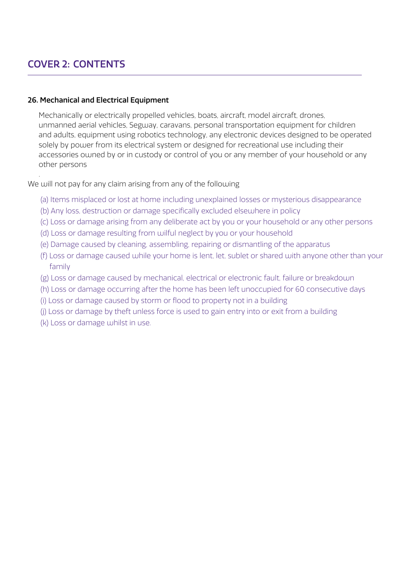#### 26. Mechanical and Electrical Equipment

Mechanically or electrically propelled vehicles, boats, aircraft, model aircraft, drones, unmanned aerial vehicles, Segway, caravans, personal transportation equipment for children and adults, equipment using robotics technology, any electronic devices designed to be operated solely by power from its electrical system or designed for recreational use including their accessories owned by or in custody or control of you or any member of your household or any other persons

. We will not pay for any claim arising from any of the following

- (a) Items misplaced or lost at home including unexplained losses or mysterious disappearance
- (b) Any loss, destruction or damage specifically excluded elsewhere in policy
- (c) Loss or damage arising from any deliberate act by you or your household or any other persons
- (d) Loss or damage resulting from wilful neglect by you or your household
- (e) Damage caused by cleaning, assembling, repairing or dismantling of the apparatus
- (f) Loss or damage caused while your home is lent, let, sublet or shared with anyone other than your family
- (g) Loss or damage caused by mechanical, electrical or electronic fault, failure or breakdown
- (h) Loss or damage occurring after the home has been left unoccupied for 60 consecutive days
- (i) Loss or damage caused by storm or flood to property not in a building
- (j) Loss or damage by theft unless force is used to gain entry into or exit from a building
- (k) Loss or damage whilst in use.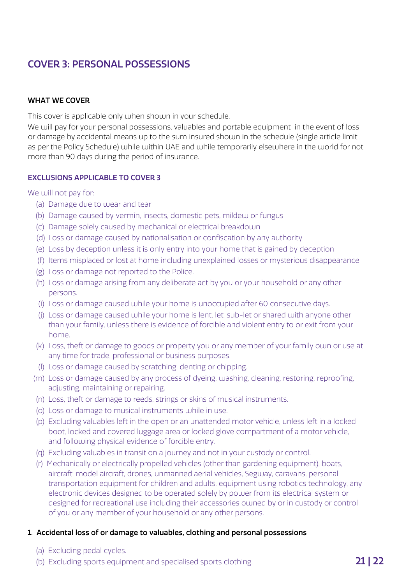#### WHAT WE COVER

This cover is applicable only when shown in your schedule.

We will pay for your personal possessions, valuables and portable equipment in the event of loss or damage by accidental means up to the sum insured shown in the schedule (single article limit as per the Policy Schedule) while within UAE and while temporarily elsewhere in the world for not more than 90 days during the period of insurance.

#### EXCLUSIONS APPLICABLE TO COVER 3

#### We will not pay for:

- (a) Damage due to wear and tear
- (b) Damage caused by vermin, insects, domestic pets, mildew or fungus
- (c) Damage solely caused by mechanical or electrical breakdown
- (d) Loss or damage caused by nationalisation or confiscation by any authority
- (e) Loss by deception unless it is only entry into your home that is gained by deception
- (f) Items misplaced or lost at home including unexplained losses or mysterious disappearance
- (g) Loss or damage not reported to the Police.
- (h) Loss or damage arising from any deliberate act by you or your household or any other persons.
- (i) Loss or damage caused while your home is unoccupied after 60 consecutive days.
- (j) Loss or damage caused while your home is lent, let, sub-let or shared with anyone other than your family, unless there is evidence of forcible and violent entry to or exit from your home.
- any time for trade, professional or business purposes. (k) Loss, theft or damage to goods or property you or any member of your family own or use at
- (l) Loss or damage caused by scratching, denting or chipping.
- (m) Loss or damage caused by any process of dyeing, washing, cleaning, restoring, reproofing, adjusting, maintaining or repairing.
- (n) Loss, theft or damage to reeds, strings or skins of musical instruments.
- (o) Loss or damage to musical instruments while in use.
- (p) Excluding valuables left in the open or an unattended motor vehicle, unless left in a locked boot, locked and covered luggage area or locked glove compartment of a motor vehicle, and following physical evidence of forcible entry.
- (q) Excluding valuables in transit on a journey and not in your custody or control.
- (r) Mechanically or electrically propelled vehicles (other than gardening equipment), boats, aircraft, model aircraft, drones, unmanned aerial vehicles, Segway, caravans, personal transportation equipment for children and adults, equipment using robotics technology, any electronic devices designed to be operated solely by power from its electrical system or designed for recreational use including their accessories owned by or in custody or control of you or any member of your household or any other persons.

#### 1. Accidental loss of or damage to valuables, clothing and personal possessions

- (a) Excluding pedal cycles.
- (b) Excluding sports equipment and specialised sports clothing. 21 | 22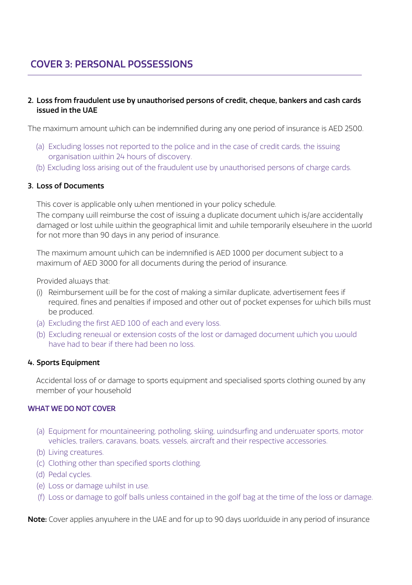#### <span id="page-25-0"></span>2. Loss from fraudulent use by unauthorised persons of credit, cheque, bankers and cash cards issued in the UAE

The maximum amount which can be indemnified during any one period of insurance is AED 2500.

- (a) Excluding losses not reported to the police and in the case of credit cards, the issuing organisation within 24 hours of discovery.
- (b) Excluding loss arising out of the fraudulent use by unauthorised persons of charge cards.

#### 3. Loss of Documents

This cover is applicable only when mentioned in your policy schedule.

The company will reimburse the cost of issuing a duplicate document which is/are accidentally damaged or lost while within the geographical limit and while temporarily elsewhere in the world for not more than 90 days in any period of insurance.

The maximum amount which can be indemnified is AED 1000 per document subject to a maximum of AED 3000 for all documents during the period of insurance.

Provided always that:

- (i) Reimbursement will be for the cost of making a similar duplicate, advertisement fees if required, fines and penalties if imposed and other out of pocket expenses for which bills must be produced.
- (a) Excluding the first AED 100 of each and every loss.
- (b) Excluding renewal or extension costs of the lost or damaged document which you would have had to bear if there had been no loss.

#### 4. Sports Equipment

Accidental loss of or damage to sports equipment and specialised sports clothing owned by any member of your household

#### WHAT WE DO NOT COVER

- (a) Equipment for mountaineering, potholing, skiing, windsurfing and underwater sports, motor vehicles, trailers, caravans, boats, vessels, aircraft and their respective accessories.
- (b) Living creatures.
- (c) Clothing other than specified sports clothing.
- (d) Pedal cycles.
- (e) Loss or damage whilst in use.
- (f) Loss or damage to golf balls unless contained in the golf bag at the time of the loss or damage.

Note: Cover applies anywhere in the UAE and for up to 90 days worldwide in any period of insurance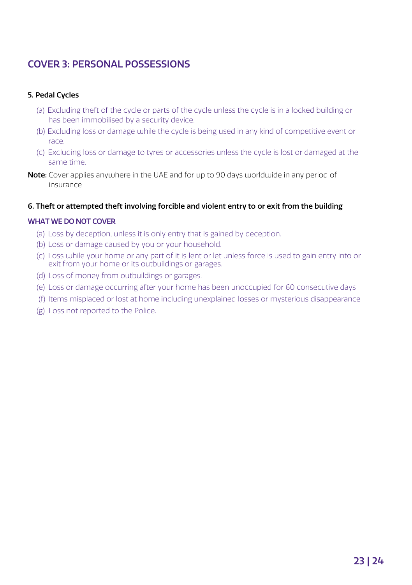### COVER 3: PERSONAL POSSESSIONS

#### 5. Pedal Cycles

- (a) Excluding theft of the cycle or parts of the cycle unless the cycle is in a locked building or has been immobilised by a security device.
- (b) Excluding loss or damage while the cycle is being used in any kind of competitive event or race.
- (c) Excluding loss or damage to tyres or accessories unless the cycle is lost or damaged at the same time.
- Note: Cover applies anywhere in the UAE and for up to 90 days worldwide in any period of insurance

#### 6. Theft or attempted theft involving forcible and violent entry to or exit from the building

#### WHAT WE DO NOT COVER

- (a) Loss by deception, unless it is only entry that is gained by deception.
- (b) Loss or damage caused by you or your household.
- (c) Loss while your home or any part of it is lent or let unless force is used to gain entry into or exit from your home or its outbuildings or garages.
- (d) Loss of money from outbuildings or garages.
- (e) Loss or damage occurring after your home has been unoccupied for 60 consecutive days
- (f) Items misplaced or lost at home including unexplained losses or mysterious disappearance
- (g) Loss not reported to the Police.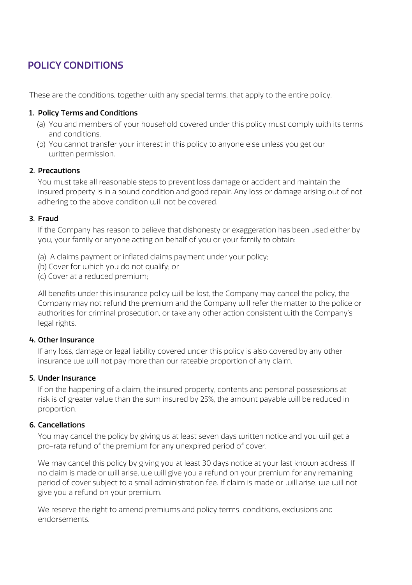### POLICY CONDITIONS

These are the conditions, together with any special terms, that apply to the entire policy.

#### 1. Policy Terms and Conditions

- (a) You and members of your household covered under this policy must comply with its terms and conditions.
- (b) You cannot transfer your interest in this policy to anyone else unless you get our written permission.

#### 2. Precautions

You must take all reasonable steps to prevent loss damage or accident and maintain the insured property is in a sound condition and good repair. Any loss or damage arising out of not adhering to the above condition will not be covered.

#### 3. Fraud

If the Company has reason to believe that dishonesty or exaggeration has been used either by you, your family or anyone acting on behalf of you or your family to obtain:

(a) A claims payment or inflated claims payment under your policy;

- (b) Cover for which you do not qualify; or
- (c) Cover at a reduced premium;

All benefits under this insurance policy will be lost, the Company may cancel the policy, the Company may not refund the premium and the Company will refer the matter to the police or authorities for criminal prosecution, or take any other action consistent with the Company's legal rights.

#### 4. Other Insurance

If any loss, damage or legal liability covered under this policy is also covered by any other insurance we will not pay more than our rateable proportion of any claim.

#### 5. Under Insurance

If on the happening of a claim, the insured property, contents and personal possessions at risk is of greater value than the sum insured by 25%, the amount payable will be reduced in proportion.

### 6. Cancellations

You may cancel the policy by giving us at least seven days written notice and you will get a pro-rata refund of the premium for any unexpired period of cover.

We may cancel this policy by giving you at least 30 days notice at your last known address. If no claim is made or will arise, we will give you a refund on your premium for any remaining period of cover subject to a small administration fee. If claim is made or will arise, we will not give you a refund on your premium.

We reserve the right to amend premiums and policy terms, conditions, exclusions and endorsements.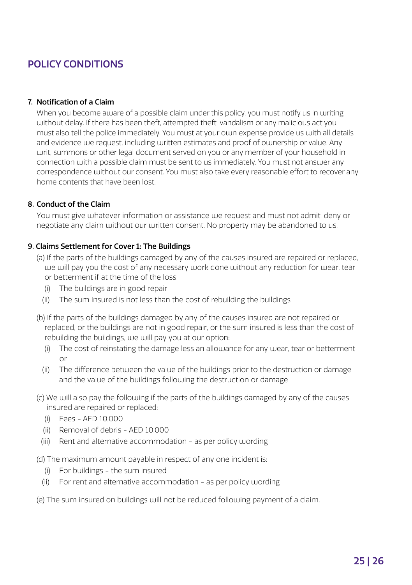#### <span id="page-28-0"></span>7. Notification of a Claim

 When you become aware of a possible claim under this policy, you must notify us in writing without delay. If there has been theft, attempted theft, vandalism or any malicious act you must also tell the police immediately. You must at your own expense provide us with all details and evidence we request, including written estimates and proof of ownership or value. Any writ, summons or other legal document served on you or any member of your household in connection with a possible claim must be sent to us immediately. You must not answer any correspondence without our consent. You must also take every reasonable effort to recover any home contents that have been lost.

#### 8. Conduct of the Claim

You must give whatever information or assistance we request and must not admit, deny or negotiate any claim without our written consent. No property may be abandoned to us.

#### 9. Claims Settlement for Cover 1: The Buildings

- (a) If the parts of the buildings damaged by any of the causes insured are repaired or replaced, we will pay you the cost of any necessary work done without any reduction for wear, tear or betterment if at the time of the loss:
	- (i) The buildings are in good repair
	- (ii) The sum Insured is not less than the cost of rebuilding the buildings
- (b) If the parts of the buildings damaged by any of the causes insured are not repaired or replaced, or the buildings are not in good repair, or the sum insured is less than the cost of rebuilding the buildings, we will pay you at our option:
	- (i) The cost of reinstating the damage less an allowance for any wear, tear or betterment or
	- (ii) The difference between the value of the buildings prior to the destruction or damage and the value of the buildings following the destruction or damage
- (c) We will also pay the following if the parts of the buildings damaged by any of the causes insured are repaired or replaced:
	- (i) Fees AED 10,000
	- (ii) Removal of debris AED 10,000
	- (iii) Rent and alternative accommodation as per policy wording

(d) The maximum amount payable in respect of any one incident is:

- (i) For buildings the sum insured
- (ii) For rent and alternative accommodation as per policy wording
- (e) The sum insured on buildings will not be reduced following payment of a claim.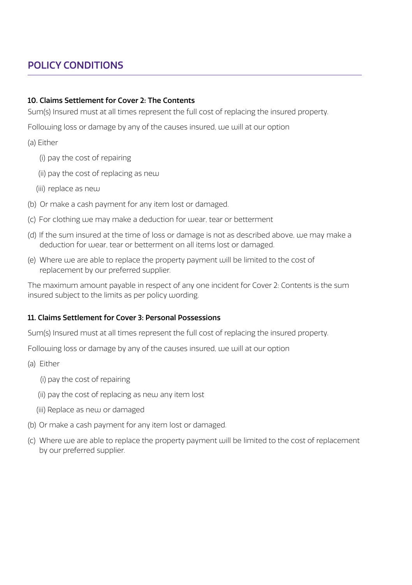### POLICY CONDITIONS

#### 10. Claims Settlement for Cover 2: The Contents

Sum(s) Insured must at all times represent the full cost of replacing the insured property.

Following loss or damage by any of the causes insured, we will at our option

- (a) Either
	- (i) pay the cost of repairing
	- (ii) pay the cost of replacing as new
	- (iii) replace as new
- (b) Or make a cash payment for any item lost or damaged.
- (c) For clothing we may make a deduction for wear, tear or betterment
- (d) If the sum insured at the time of loss or damage is not as described above, we may make a deduction for wear, tear or betterment on all items lost or damaged.
- (e) Where we are able to replace the property payment will be limited to the cost of replacement by our preferred supplier.

The maximum amount payable in respect of any one incident for Cover 2: Contents is the sum insured subject to the limits as per policy wording.

#### 11. Claims Settlement for Cover 3: Personal Possessions

Sum(s) Insured must at all times represent the full cost of replacing the insured property.

Following loss or damage by any of the causes insured, we will at our option

- (a) Either
	- (i) pay the cost of repairing
	- (ii) pay the cost of replacing as new any item lost
	- (iii) Replace as new or damaged
- (b) Or make a cash payment for any item lost or damaged.
- (c) Where we are able to replace the property payment will be limited to the cost of replacement by our preferred supplier.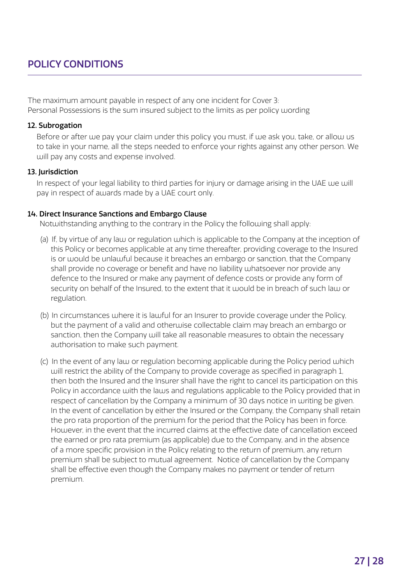### POLICY CONDITIONS

The maximum amount payable in respect of any one incident for Cover 3: Personal Possessions is the sum insured subject to the limits as per policy wording

#### 12. Subrogation

Before or after we pay your claim under this policy you must, if we ask you, take, or allow us to take in your name, all the steps needed to enforce your rights against any other person. We will pay any costs and expense involved.

#### 13. Jurisdiction

In respect of your legal liability to third parties for injury or damage arising in the UAE we will pay in respect of aujards made by a UAF court only.

#### 14. Direct Insurance Sanctions and Embargo Clause

Notwithstanding anything to the contrary in the Policy the following shall apply:

- (a) If, by virtue of any law or regulation which is applicable to the Company at the inception of security on behalf of the Insured, to the extent that it would be in breach of such law or this Policy or becomes applicable at any time thereafter, providing coverage to the Insured is or would be unlawful because it breaches an embargo or sanction, that the Company shall provide no coverage or benefit and have no liability whatsoever nor provide any defence to the Insured or make any payment of defence costs or provide any form of regulation.
- (b) In circumstances where it is lawful for an Insurer to provide coverage under the Policy, but the payment of a valid and otherwise collectable claim may breach an embargo or sanction, then the Company will take all reasonable measures to obtain the necessary authorisation to make such payment.
- will restrict the ability of the Company to provide coverage as specified in paragraph 1, In the event of cancellation by either the Insured or the Company, the Company shall retain the pro rata proportion of the premium for the period that the Policy has been in force. However, in the event that the incurred claims at the effective date of cancellation exceed premium shall be subject to mutual agreement. Notice of cancellation by the Company (c) In the event of any law or regulation becoming applicable during the Policy period which then both the Insured and the Insurer shall have the right to cancel its participation on this Policy in accordance with the laws and regulations applicable to the Policy provided that in respect of cancellation by the Company a minimum of 30 days notice in writing be given. the earned or pro rata premium (as applicable) due to the Company, and in the absence of a more specific provision in the Policy relating to the return of premium, any return shall be effective even though the Company makes no payment or tender of return premium.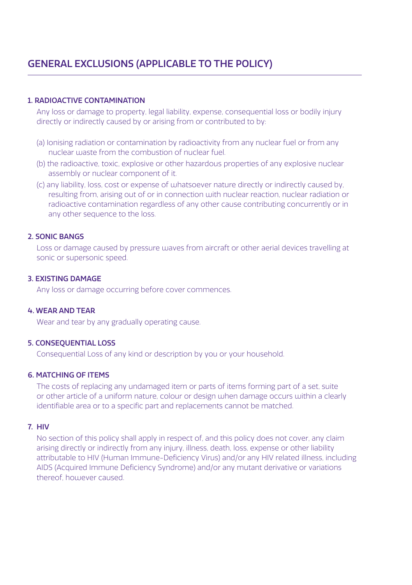### GENERAL EXCLUSIONS (APPLICABLE TO THE POLICY)

#### 1. RADIOACTIVE CONTAMINATION

Any loss or damage to property, legal liability, expense, consequential loss or bodily injury directly or indirectly caused by or arising from or contributed to by:

- (a) Ionising radiation or contamination by radioactivity from any nuclear fuel or from any nuclear waste from the combustion of nuclear fuel.
- (b) the radioactive, toxic, explosive or other hazardous properties of any explosive nuclear assembly or nuclear component of it.
- (c) any liability, loss, cost or expense of whatsoever nature directly or indirectly caused by, resulting from, arising out of or in connection with nuclear reaction, nuclear radiation or radioactive contamination regardless of any other cause contributing concurrently or in any other sequence to the loss.

#### 2. SONIC BANGS

Loss or damage caused by pressure waves from aircraft or other aerial devices travelling at sonic or supersonic speed.

#### 3. EXISTING DAMAGE

Any loss or damage occurring before cover commences.

#### 4. WEAR AND TEAR

Wear and tear by any gradually operating cause.

#### 5. CONSEQUENTIAL LOSS

Consequential Loss of any kind or description by you or your household.

#### 6. MATCHING OF ITEMS

The costs of replacing any undamaged item or parts of items forming part of a set, suite or other article of a uniform nature, colour or design when damage occurs within a clearly identifiable area or to a specific part and replacements cannot be matched.

#### 7. HIV

No section of this policy shall apply in respect of, and this policy does not cover, any claim arising directly or indirectly from any injury, illness, death, loss, expense or other liability attributable to HIV (Human Immune-Deficiency Virus) and/or any HIV related illness, including AIDS (Acquired Immune Deficiency Syndrome) and/or any mutant derivative or variations thereof, however caused.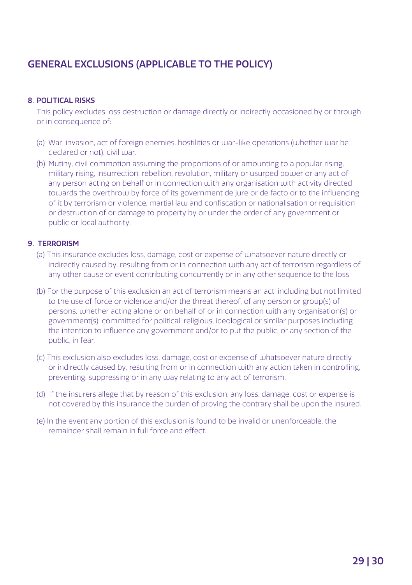#### <span id="page-32-0"></span>8. POLITICAL RISKS

This policy excludes loss destruction or damage directly or indirectly occasioned by or through or in consequence of:

- (a) War, invasion, act of foreign enemies, hostilities or war-like operations (whether war be declared or not), civil war.
- (b) Mutiny, civil commotion assuming the proportions of or amounting to a popular rising, military rising, insurrection, rebellion, revolution, military or usurped power or any act of any person acting on behalf or in connection with any organisation with activity directed towards the overthrow by force of its government de jure or de facto or to the influencing of it by terrorism or violence, martial law and confiscation or nationalisation or requisition or destruction of or damage to property by or under the order of any government or public or local authority.

#### 9. TERRORISM

- (a) This insurance excludes loss, damage, cost or expense of whatsoever nature directly or indirectly caused by, resulting from or in connection with any act of terrorism regardless of any other cause or event contributing concurrently or in any other sequence to the loss.
- (b) For the purpose of this exclusion an act of terrorism means an act, including but not limited to the use of force or violence and/or the threat thereof, of any person or group(s) of persons, whether acting alone or on behalf of or in connection with any organisation(s) or government(s), committed for political, religious, ideological or similar purposes including the intention to influence any government and/or to put the public, or any section of the public, in fear.
- (c) This exclusion also excludes loss, damage, cost or expense of whatsoever nature directly or indirectly caused by, resulting from or in connection with any action taken in controlling, preventing, suppressing or in any way relating to any act of terrorism.
- (d) If the insurers allege that by reason of this exclusion, any loss, damage, cost or expense is not covered by this insurance the burden of proving the contrary shall be upon the insured.
- (e) In the event any portion of this exclusion is found to be invalid or unenforceable, the remainder shall remain in full force and effect.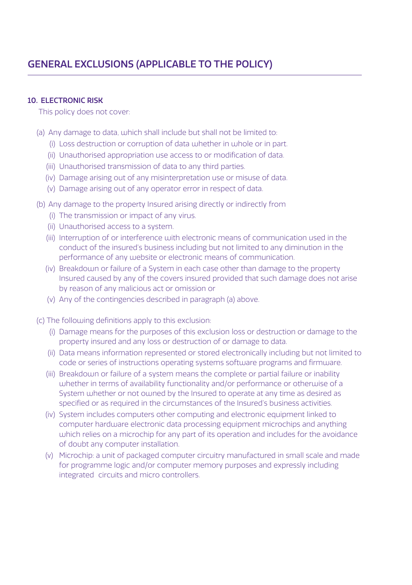#### 10. ELECTRONIC RISK

This policy does not cover:

- (a) Any damage to data, which shall include but shall not be limited to:
	- (i) Loss destruction or corruption of data whether in whole or in part.
	- (ii) Unauthorised appropriation use access to or modification of data.
	- (iii) Unauthorised transmission of data to any third parties.
	- (iv) Damage arising out of any misinterpretation use or misuse of data.
	- (v) Damage arising out of any operator error in respect of data.
- (b) Any damage to the property Insured arising directly or indirectly from
	- (i) The transmission or impact of any virus.
	- (ii) Unauthorised access to a system.
	- (iii) Interruption of or interference with electronic means of communication used in the conduct of the insured's business including but not limited to any diminution in the performance of any website or electronic means of communication.
	- (iv) Breakdown or failure of a System in each case other than damage to the property Insured caused by any of the covers insured provided that such damage does not arise by reason of any malicious act or omission or
	- (v) Any of the contingencies described in paragraph (a) above.
- (c) The following definitions apply to this exclusion:
	- (i) Damage means for the purposes of this exclusion loss or destruction or damage to the property insured and any loss or destruction of or damage to data.
	- (ii) Data means information represented or stored electronically including but not limited to code or series of instructions operating systems software programs and firmware.
	- (iii) Breakdown or failure of a system means the complete or partial failure or inability whether in terms of availability functionality and/or performance or otherwise of a System whether or not owned by the Insured to operate at any time as desired as specified or as required in the circumstances of the Insured's business activities.
	- (iv) System includes computers other computing and electronic equipment linked to computer hardware electronic data processing equipment microchips and anything which relies on a microchip for any part of its operation and includes for the avoidance of doubt any computer installation.
	- (v) Microchip: a unit of packaged computer circuitry manufactured in small scale and made for programme logic and/or computer memory purposes and expressly including integrated circuits and micro controllers.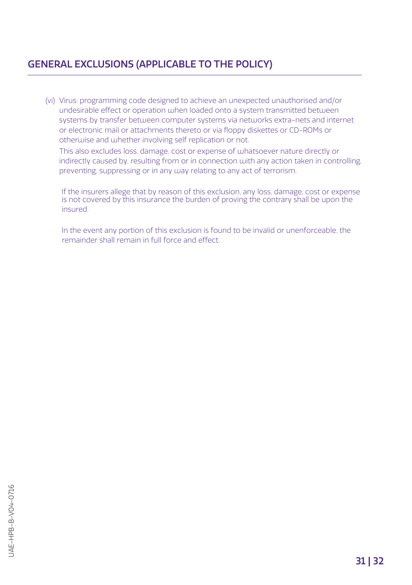### GENERAL EXCLUSIONS (APPLICABLE TO THE POLICY)

(vi) Virus: programming code designed to achieve an unexpected unauthorised and/or undesirable effect or operation when loaded onto a system transmitted between systems by transfer between computer systems via networks extra-nets and internet or electronic mail or attachments thereto or via floppy diskettes or CD-ROMs or otherwise and whether involving self replication or not.

This also excludes loss, damage, cost or expense of whatsoever nature directly or indirectly caused by, resulting from or in connection with any action taken in controlling, preventing, suppressing or in any way relating to any act of terrorism.

 If the insurers allege that by reason of this exclusion, any loss, damage, cost or expense is not covered by this insurance the burden of proving the contrary shall be upon the insured.

 In the event any portion of this exclusion is found to be invalid or unenforceable, the remainder shall remain in full force and effect.